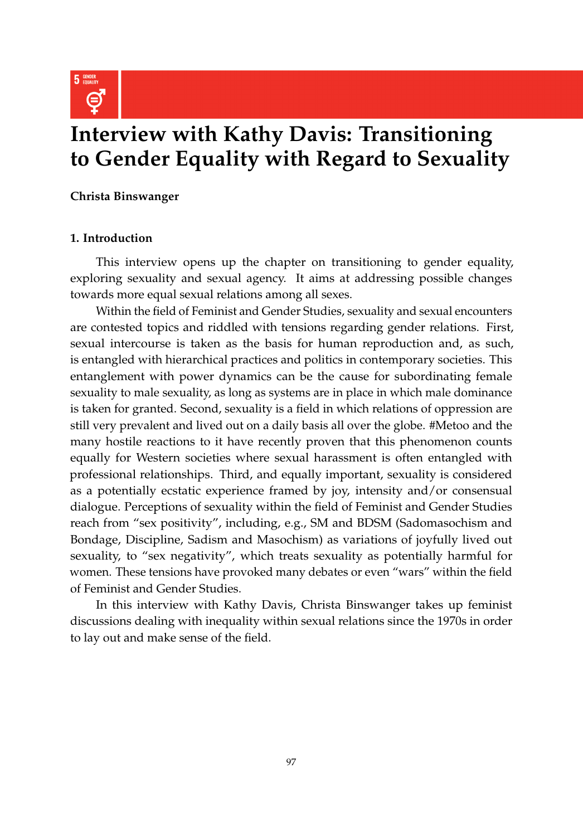

# **Interview with Kathy Davis: Transitioning to Gender Equality with Regard to Sexuality**

**Christa Binswanger**

## **1. Introduction**

This interview opens up the chapter on transitioning to gender equality, exploring sexuality and sexual agency. It aims at addressing possible changes towards more equal sexual relations among all sexes.

Within the field of Feminist and Gender Studies, sexuality and sexual encounters are contested topics and riddled with tensions regarding gender relations. First, sexual intercourse is taken as the basis for human reproduction and, as such, is entangled with hierarchical practices and politics in contemporary societies. This entanglement with power dynamics can be the cause for subordinating female sexuality to male sexuality, as long as systems are in place in which male dominance is taken for granted. Second, sexuality is a field in which relations of oppression are still very prevalent and lived out on a daily basis all over the globe. #Metoo and the many hostile reactions to it have recently proven that this phenomenon counts equally for Western societies where sexual harassment is often entangled with professional relationships. Third, and equally important, sexuality is considered as a potentially ecstatic experience framed by joy, intensity and/or consensual dialogue. Perceptions of sexuality within the field of Feminist and Gender Studies reach from "sex positivity", including, e.g., SM and BDSM (Sadomasochism and Bondage, Discipline, Sadism and Masochism) as variations of joyfully lived out sexuality, to "sex negativity", which treats sexuality as potentially harmful for women. These tensions have provoked many debates or even "wars" within the field of Feminist and Gender Studies.

In this interview with Kathy Davis, Christa Binswanger takes up feminist discussions dealing with inequality within sexual relations since the 1970s in order to lay out and make sense of the field.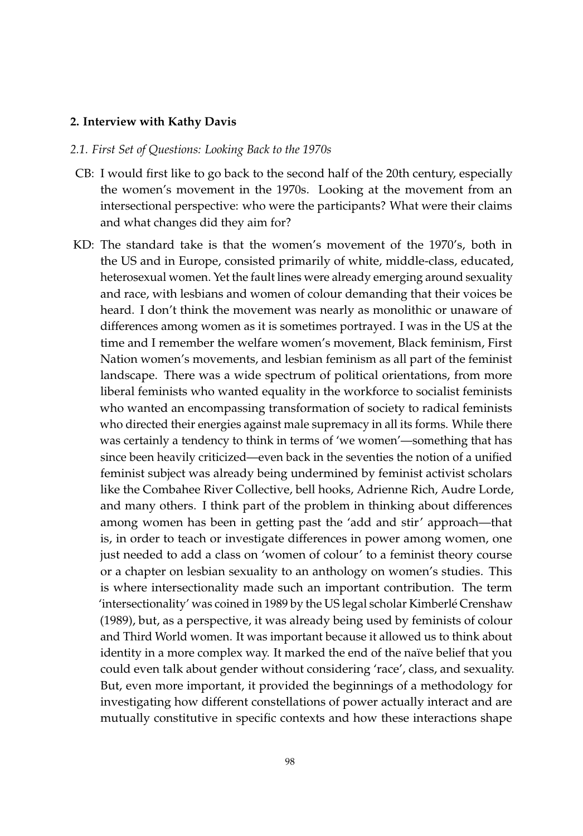### **2. Interview with Kathy Davis**

#### *2.1. First Set of Questions: Looking Back to the 1970s*

- CB: I would first like to go back to the second half of the 20th century, especially the women's movement in the 1970s. Looking at the movement from an intersectional perspective: who were the participants? What were their claims and what changes did they aim for?
- KD: The standard take is that the women's movement of the 1970's, both in the US and in Europe, consisted primarily of white, middle-class, educated, heterosexual women. Yet the fault lines were already emerging around sexuality and race, with lesbians and women of colour demanding that their voices be heard. I don't think the movement was nearly as monolithic or unaware of differences among women as it is sometimes portrayed. I was in the US at the time and I remember the welfare women's movement, Black feminism, First Nation women's movements, and lesbian feminism as all part of the feminist landscape. There was a wide spectrum of political orientations, from more liberal feminists who wanted equality in the workforce to socialist feminists who wanted an encompassing transformation of society to radical feminists who directed their energies against male supremacy in all its forms. While there was certainly a tendency to think in terms of 'we women'—something that has since been heavily criticized—even back in the seventies the notion of a unified feminist subject was already being undermined by feminist activist scholars like the Combahee River Collective, bell hooks, Adrienne Rich, Audre Lorde, and many others. I think part of the problem in thinking about differences among women has been in getting past the 'add and stir' approach—that is, in order to teach or investigate differences in power among women, one just needed to add a class on 'women of colour' to a feminist theory course or a chapter on lesbian sexuality to an anthology on women's studies. This is where intersectionality made such an important contribution. The term 'intersectionality' was coined in 1989 by the US legal scholar Kimberlé Crenshaw (1989), but, as a perspective, it was already being used by feminists of colour and Third World women. It was important because it allowed us to think about identity in a more complex way. It marked the end of the naïve belief that you could even talk about gender without considering 'race', class, and sexuality. But, even more important, it provided the beginnings of a methodology for investigating how different constellations of power actually interact and are mutually constitutive in specific contexts and how these interactions shape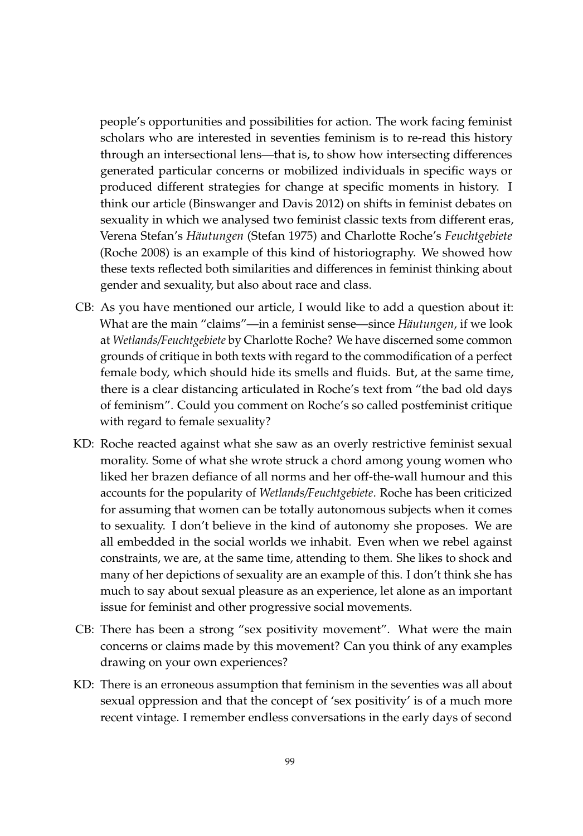people's opportunities and possibilities for action. The work facing feminist scholars who are interested in seventies feminism is to re-read this history through an intersectional lens—that is, to show how intersecting differences generated particular concerns or mobilized individuals in specific ways or produced different strategies for change at specific moments in history. I think our article (Binswanger and Davis 2012) on shifts in feminist debates on sexuality in which we analysed two feminist classic texts from different eras, Verena Stefan's *Häutungen* (Stefan 1975) and Charlotte Roche's *Feuchtgebiete* (Roche 2008) is an example of this kind of historiography. We showed how these texts reflected both similarities and differences in feminist thinking about gender and sexuality, but also about race and class.

- CB: As you have mentioned our article, I would like to add a question about it: What are the main "claims"—in a feminist sense—since *Häutungen*, if we look at *Wetlands/Feuchtgebiete* by Charlotte Roche? We have discerned some common grounds of critique in both texts with regard to the commodification of a perfect female body, which should hide its smells and fluids. But, at the same time, there is a clear distancing articulated in Roche's text from "the bad old days of feminism". Could you comment on Roche's so called postfeminist critique with regard to female sexuality?
- KD: Roche reacted against what she saw as an overly restrictive feminist sexual morality. Some of what she wrote struck a chord among young women who liked her brazen defiance of all norms and her off-the-wall humour and this accounts for the popularity of *Wetlands/Feuchtgebiete*. Roche has been criticized for assuming that women can be totally autonomous subjects when it comes to sexuality. I don't believe in the kind of autonomy she proposes. We are all embedded in the social worlds we inhabit. Even when we rebel against constraints, we are, at the same time, attending to them. She likes to shock and many of her depictions of sexuality are an example of this. I don't think she has much to say about sexual pleasure as an experience, let alone as an important issue for feminist and other progressive social movements.
- CB: There has been a strong "sex positivity movement". What were the main concerns or claims made by this movement? Can you think of any examples drawing on your own experiences?
- KD: There is an erroneous assumption that feminism in the seventies was all about sexual oppression and that the concept of 'sex positivity' is of a much more recent vintage. I remember endless conversations in the early days of second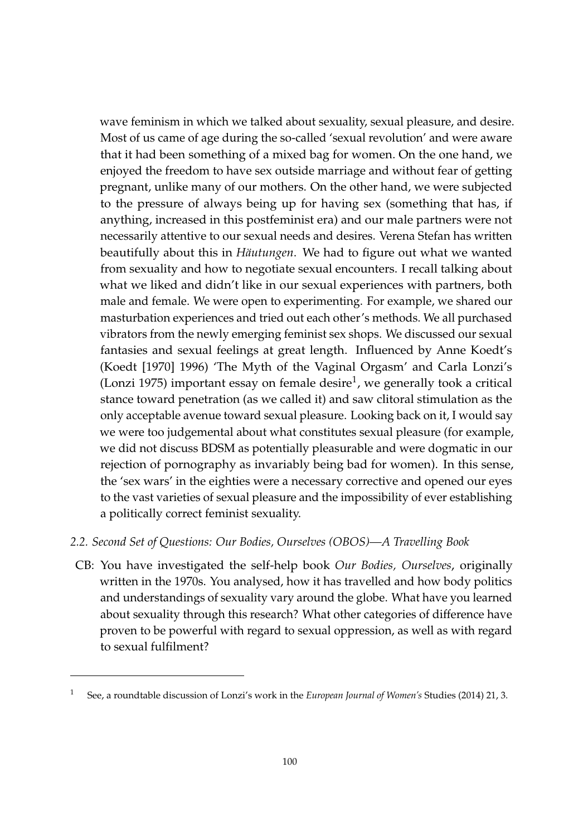wave feminism in which we talked about sexuality, sexual pleasure, and desire. Most of us came of age during the so-called 'sexual revolution' and were aware that it had been something of a mixed bag for women. On the one hand, we enjoyed the freedom to have sex outside marriage and without fear of getting pregnant, unlike many of our mothers. On the other hand, we were subjected to the pressure of always being up for having sex (something that has, if anything, increased in this postfeminist era) and our male partners were not necessarily attentive to our sexual needs and desires. Verena Stefan has written beautifully about this in *Häutungen*. We had to figure out what we wanted from sexuality and how to negotiate sexual encounters. I recall talking about what we liked and didn't like in our sexual experiences with partners, both male and female. We were open to experimenting. For example, we shared our masturbation experiences and tried out each other's methods. We all purchased vibrators from the newly emerging feminist sex shops. We discussed our sexual fantasies and sexual feelings at great length. Influenced by Anne Koedt's (Koedt [1970] 1996) 'The Myth of the Vaginal Orgasm' and Carla Lonzi's (Lonzi 1975) important essay on female desire $^1$ , we generally took a critical stance toward penetration (as we called it) and saw clitoral stimulation as the only acceptable avenue toward sexual pleasure. Looking back on it, I would say we were too judgemental about what constitutes sexual pleasure (for example, we did not discuss BDSM as potentially pleasurable and were dogmatic in our rejection of pornography as invariably being bad for women). In this sense, the 'sex wars' in the eighties were a necessary corrective and opened our eyes to the vast varieties of sexual pleasure and the impossibility of ever establishing a politically correct feminist sexuality.

- *2.2. Second Set of Questions: Our Bodies, Ourselves (OBOS)—A Travelling Book*
- CB: You have investigated the self-help book *Our Bodies, Ourselves*, originally written in the 1970s. You analysed, how it has travelled and how body politics and understandings of sexuality vary around the globe. What have you learned about sexuality through this research? What other categories of difference have proven to be powerful with regard to sexual oppression, as well as with regard to sexual fulfilment?

<sup>1</sup> See, a roundtable discussion of Lonzi's work in the *European Journal of Women's* Studies (2014) 21, 3.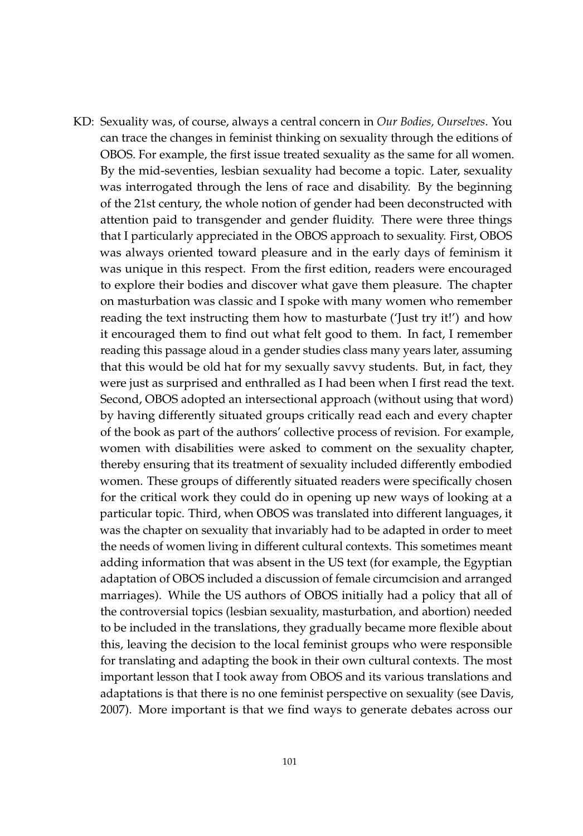KD: Sexuality was, of course, always a central concern in *Our Bodies, Ourselves*. You can trace the changes in feminist thinking on sexuality through the editions of OBOS. For example, the first issue treated sexuality as the same for all women. By the mid-seventies, lesbian sexuality had become a topic. Later, sexuality was interrogated through the lens of race and disability. By the beginning of the 21st century, the whole notion of gender had been deconstructed with attention paid to transgender and gender fluidity. There were three things that I particularly appreciated in the OBOS approach to sexuality. First, OBOS was always oriented toward pleasure and in the early days of feminism it was unique in this respect. From the first edition, readers were encouraged to explore their bodies and discover what gave them pleasure. The chapter on masturbation was classic and I spoke with many women who remember reading the text instructing them how to masturbate ('Just try it!') and how it encouraged them to find out what felt good to them. In fact, I remember reading this passage aloud in a gender studies class many years later, assuming that this would be old hat for my sexually savvy students. But, in fact, they were just as surprised and enthralled as I had been when I first read the text. Second, OBOS adopted an intersectional approach (without using that word) by having differently situated groups critically read each and every chapter of the book as part of the authors' collective process of revision. For example, women with disabilities were asked to comment on the sexuality chapter, thereby ensuring that its treatment of sexuality included differently embodied women. These groups of differently situated readers were specifically chosen for the critical work they could do in opening up new ways of looking at a particular topic. Third, when OBOS was translated into different languages, it was the chapter on sexuality that invariably had to be adapted in order to meet the needs of women living in different cultural contexts. This sometimes meant adding information that was absent in the US text (for example, the Egyptian adaptation of OBOS included a discussion of female circumcision and arranged marriages). While the US authors of OBOS initially had a policy that all of the controversial topics (lesbian sexuality, masturbation, and abortion) needed to be included in the translations, they gradually became more flexible about this, leaving the decision to the local feminist groups who were responsible for translating and adapting the book in their own cultural contexts. The most important lesson that I took away from OBOS and its various translations and adaptations is that there is no one feminist perspective on sexuality (see Davis, 2007). More important is that we find ways to generate debates across our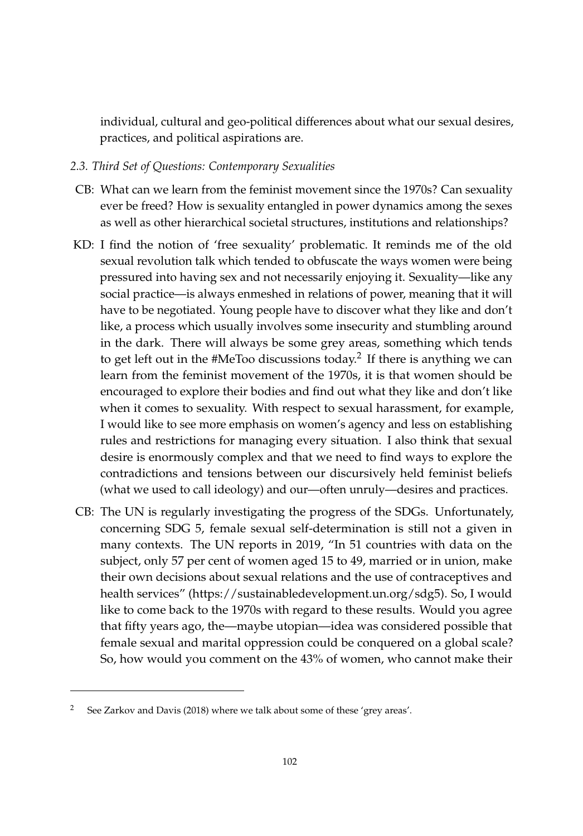individual, cultural and geo-political differences about what our sexual desires, practices, and political aspirations are.

# *2.3. Third Set of Questions: Contemporary Sexualities*

- CB: What can we learn from the feminist movement since the 1970s? Can sexuality ever be freed? How is sexuality entangled in power dynamics among the sexes as well as other hierarchical societal structures, institutions and relationships?
- KD: I find the notion of 'free sexuality' problematic. It reminds me of the old sexual revolution talk which tended to obfuscate the ways women were being pressured into having sex and not necessarily enjoying it. Sexuality—like any social practice—is always enmeshed in relations of power, meaning that it will have to be negotiated. Young people have to discover what they like and don't like, a process which usually involves some insecurity and stumbling around in the dark. There will always be some grey areas, something which tends to get left out in the #MeToo discussions today. $^2$  If there is anything we can learn from the feminist movement of the 1970s, it is that women should be encouraged to explore their bodies and find out what they like and don't like when it comes to sexuality. With respect to sexual harassment, for example, I would like to see more emphasis on women's agency and less on establishing rules and restrictions for managing every situation. I also think that sexual desire is enormously complex and that we need to find ways to explore the contradictions and tensions between our discursively held feminist beliefs (what we used to call ideology) and our—often unruly—desires and practices.
- CB: The UN is regularly investigating the progress of the SDGs. Unfortunately, concerning SDG 5, female sexual self-determination is still not a given in many contexts. The UN reports in 2019, "In 51 countries with data on the subject, only 57 per cent of women aged 15 to 49, married or in union, make their own decisions about sexual relations and the use of contraceptives and health services" [\(https://sustainabledevelopment.un.org/sdg5\)](https://sustainabledevelopment.un.org/sdg5). So, I would like to come back to the 1970s with regard to these results. Would you agree that fifty years ago, the—maybe utopian—idea was considered possible that female sexual and marital oppression could be conquered on a global scale? So, how would you comment on the 43% of women, who cannot make their

See Zarkov and Davis (2018) where we talk about some of these 'grey areas'.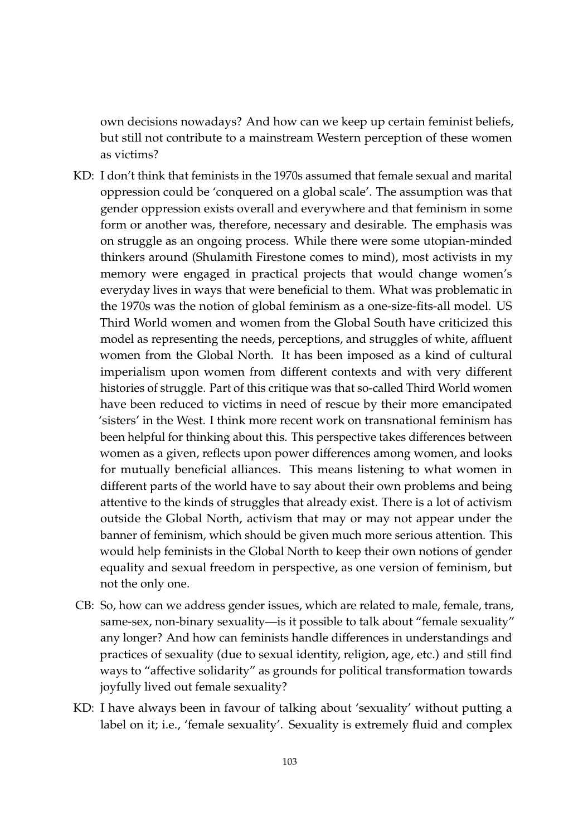own decisions nowadays? And how can we keep up certain feminist beliefs, but still not contribute to a mainstream Western perception of these women as victims?

- KD: I don't think that feminists in the 1970s assumed that female sexual and marital oppression could be 'conquered on a global scale'. The assumption was that gender oppression exists overall and everywhere and that feminism in some form or another was, therefore, necessary and desirable. The emphasis was on struggle as an ongoing process. While there were some utopian-minded thinkers around (Shulamith Firestone comes to mind), most activists in my memory were engaged in practical projects that would change women's everyday lives in ways that were beneficial to them. What was problematic in the 1970s was the notion of global feminism as a one-size-fits-all model. US Third World women and women from the Global South have criticized this model as representing the needs, perceptions, and struggles of white, affluent women from the Global North. It has been imposed as a kind of cultural imperialism upon women from different contexts and with very different histories of struggle. Part of this critique was that so-called Third World women have been reduced to victims in need of rescue by their more emancipated 'sisters' in the West. I think more recent work on transnational feminism has been helpful for thinking about this. This perspective takes differences between women as a given, reflects upon power differences among women, and looks for mutually beneficial alliances. This means listening to what women in different parts of the world have to say about their own problems and being attentive to the kinds of struggles that already exist. There is a lot of activism outside the Global North, activism that may or may not appear under the banner of feminism, which should be given much more serious attention. This would help feminists in the Global North to keep their own notions of gender equality and sexual freedom in perspective, as one version of feminism, but not the only one.
- CB: So, how can we address gender issues, which are related to male, female, trans, same-sex, non-binary sexuality—is it possible to talk about "female sexuality" any longer? And how can feminists handle differences in understandings and practices of sexuality (due to sexual identity, religion, age, etc.) and still find ways to "affective solidarity" as grounds for political transformation towards joyfully lived out female sexuality?
- KD: I have always been in favour of talking about 'sexuality' without putting a label on it; i.e., 'female sexuality'. Sexuality is extremely fluid and complex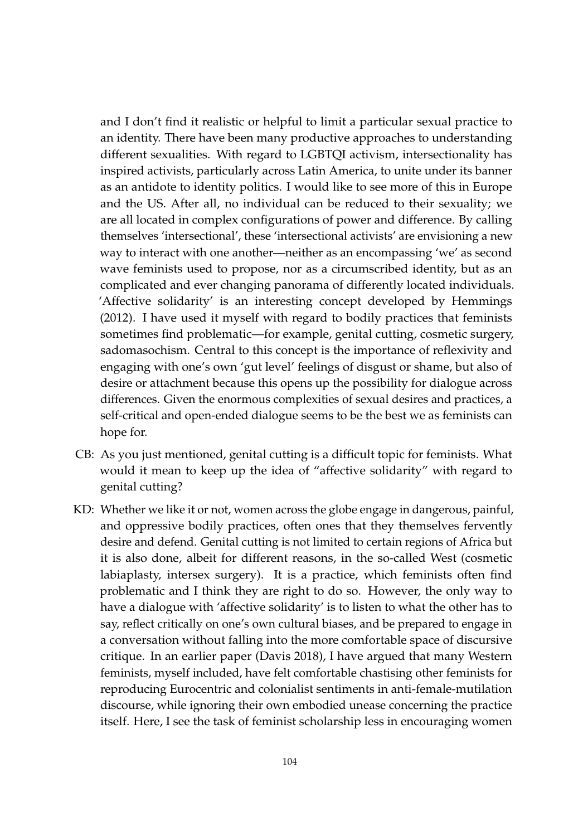and I don't find it realistic or helpful to limit a particular sexual practice to an identity. There have been many productive approaches to understanding different sexualities. With regard to LGBTQI activism, intersectionality has inspired activists, particularly across Latin America, to unite under its banner as an antidote to identity politics. I would like to see more of this in Europe and the US. After all, no individual can be reduced to their sexuality; we are all located in complex configurations of power and difference. By calling themselves 'intersectional', these 'intersectional activists' are envisioning a new way to interact with one another—neither as an encompassing 'we' as second wave feminists used to propose, nor as a circumscribed identity, but as an complicated and ever changing panorama of differently located individuals. 'Affective solidarity' is an interesting concept developed by Hemmings (2012). I have used it myself with regard to bodily practices that feminists sometimes find problematic—for example, genital cutting, cosmetic surgery, sadomasochism. Central to this concept is the importance of reflexivity and engaging with one's own 'gut level' feelings of disgust or shame, but also of desire or attachment because this opens up the possibility for dialogue across differences. Given the enormous complexities of sexual desires and practices, a self-critical and open-ended dialogue seems to be the best we as feminists can hope for.

- CB: As you just mentioned, genital cutting is a difficult topic for feminists. What would it mean to keep up the idea of "affective solidarity" with regard to genital cutting?
- KD: Whether we like it or not, women across the globe engage in dangerous, painful, and oppressive bodily practices, often ones that they themselves fervently desire and defend. Genital cutting is not limited to certain regions of Africa but it is also done, albeit for different reasons, in the so-called West (cosmetic labiaplasty, intersex surgery). It is a practice, which feminists often find problematic and I think they are right to do so. However, the only way to have a dialogue with 'affective solidarity' is to listen to what the other has to say, reflect critically on one's own cultural biases, and be prepared to engage in a conversation without falling into the more comfortable space of discursive critique. In an earlier paper (Davis 2018), I have argued that many Western feminists, myself included, have felt comfortable chastising other feminists for reproducing Eurocentric and colonialist sentiments in anti-female-mutilation discourse, while ignoring their own embodied unease concerning the practice itself. Here, I see the task of feminist scholarship less in encouraging women